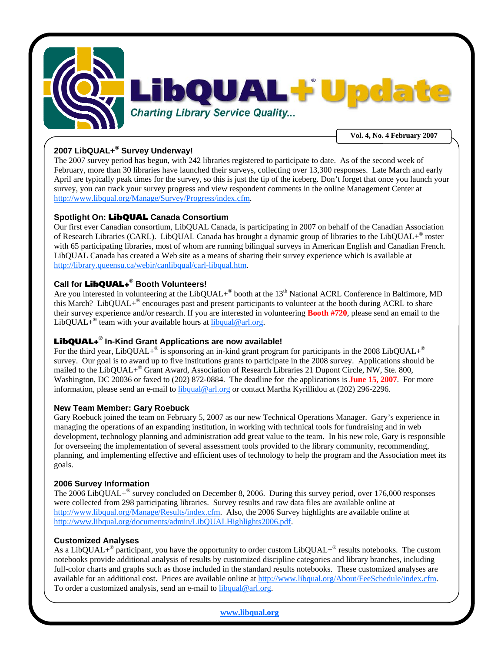

# **2007 LibQUAL+® Survey Underway!**

The 2007 survey period has begun, with 242 libraries registered to participate to date. As of the second week of February, more than 30 libraries have launched their surveys, collecting over 13,300 responses. Late March and early April are typically peak times for the survey, so this is just the tip of the iceberg. Don't forget that once you launch your survey, you can track your survey progress and view respondent comments in the online Management Center at http://www.libqual.org/Manage/Survey/Progress/index.cfm.

## **Spotlight On:** LibQUAL **Canada Consortium**

Our first ever Canadian consortium, LibQUAL Canada, is participating in 2007 on behalf of the Canadian Association of Research Libraries (CARL). LibQUAL Canada has brought a dynamic group of libraries to the LibQUAL+® roster with 65 participating libraries, most of whom are running bilingual surveys in American English and Canadian French. LibQUAL Canada has created a Web site as a means of sharing their survey experience which is available at http://library.queensu.ca/webir/canlibqual/carl-libqual.htm.

## **Call for** LibQUAL+**® Booth Volunteers!**

Are you interested in volunteering at the LibQUAL+<sup>®</sup> booth at the 13<sup>th</sup> National ACRL Conference in Baltimore, MD this March? LibQUAL+® encourages past and present participants to volunteer at the booth during ACRL to share their survey experience and/or research. If you are interested in volunteering **Booth #720**, please send an email to the LibQUAL+<sup>®</sup> team with your available hours at  $\frac{2 \text{li} \log \log \log \log n}{n}$ .org.

# LibQUAL+**® In-Kind Grant Applications are now available!**

For the third year, LibQUAL+<sup>®</sup> is sponsoring an in-kind grant program for participants in the 2008 LibQUAL+<sup>®</sup> survey. Our goal is to award up to five institutions grants to participate in the 2008 survey. Applications should be mailed to the LibQUAL+® Grant Award, Association of Research Libraries 21 Dupont Circle, NW, Ste. 800, Washington, DC 20036 or faxed to (202) 872-0884. The deadline for the applications is **June 15, 2007**. For more information, please send an e-mail to libqual@arl.org or contact Martha Kyrillidou at (202) 296-2296.

## **New Team Member: Gary Roebuck**

Gary Roebuck joined the team on February 5, 2007 as our new Technical Operations Manager. Gary's experience in managing the operations of an expanding institution, in working with technical tools for fundraising and in web development, technology planning and administration add great value to the team. In his new role, Gary is responsible for overseeing the implementation of several assessment tools provided to the library community, recommending, planning, and implementing effective and efficient uses of technology to help the program and the Association meet its goals.

## **2006 Survey Information**

The 2006 LibQUAL $+^{\circ}$  survey concluded on December 8, 2006. During this survey period, over 176,000 responses were collected from 298 participating libraries. Survey results and raw data files are available online at http://www.libqual.org/Manage/Results/index.cfm. Also, the 2006 Survey highlights are available online at http://www.libqual.org/documents/admin/LibQUALHighlights2006.pdf.

## **Customized Analyses**

As a LibQUAL+<sup>®</sup> participant, you have the opportunity to order custom LibQUAL+<sup>®</sup> results notebooks. The custom notebooks provide additional analysis of results by customized discipline categories and library branches, including full-color charts and graphs such as those included in the standard results notebooks. These customized analyses are available for an additional cost. Prices are available online at http://www.libqual.org/About/FeeSchedule/index.cfm. To order a customized analysis, send an e-mail to libqual@arl.org.

**www.libqual.org**